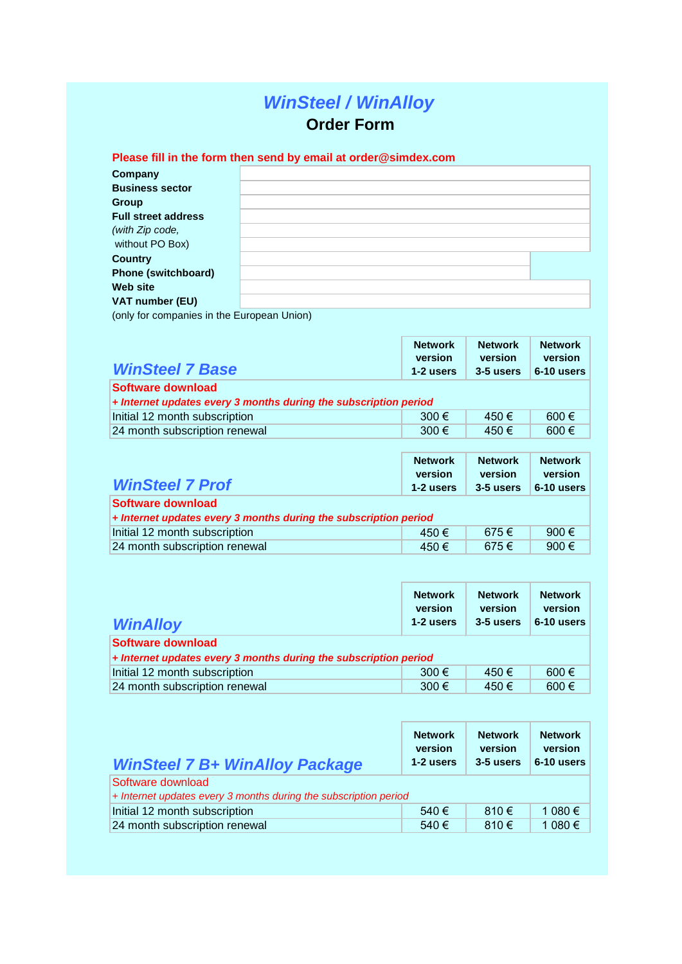# *WinSteel / WinAlloy*  **Order Form**

## **Please fill in the form then send by email at order@simdex.com**

| Company                                                                                                                                                                                                                       |  |
|-------------------------------------------------------------------------------------------------------------------------------------------------------------------------------------------------------------------------------|--|
| <b>Business sector</b>                                                                                                                                                                                                        |  |
| Group                                                                                                                                                                                                                         |  |
| <b>Full street address</b>                                                                                                                                                                                                    |  |
| (with Zip code,                                                                                                                                                                                                               |  |
| without PO Box)                                                                                                                                                                                                               |  |
| <b>Country</b>                                                                                                                                                                                                                |  |
| <b>Phone (switchboard)</b>                                                                                                                                                                                                    |  |
| Web site                                                                                                                                                                                                                      |  |
| VAT number (EU)                                                                                                                                                                                                               |  |
| The additional content of the state of the content of the field of Vietnam and the field of Vietnam and the field of Vietnam and the field of Vietnam and the field of Vietnam and the field of the state of the state of the |  |

(only for companies in the European Union)

| <b>WinSteel 7 Base</b>                                                                  | <b>Network</b><br>version<br>1-2 users | <b>Network</b><br>version<br>3-5 users | <b>Network</b><br>version<br>6-10 users |
|-----------------------------------------------------------------------------------------|----------------------------------------|----------------------------------------|-----------------------------------------|
| Software download<br>$+$ Internet updates every 3 months during the subscription period |                                        |                                        |                                         |
| Initial 12 month subscription                                                           | 300 $\epsilon$                         | 450€                                   | $600 \in$                               |
| 24 month subscription renewal                                                           | 300 $\epsilon$                         | 450€                                   | 600 $\epsilon$                          |
|                                                                                         |                                        |                                        |                                         |

| <b>WinSteel 7 Prof</b>                                           | <b>Network</b><br>version<br>1-2 users | <b>Network</b><br>version<br>3-5 users | <b>Network</b><br>version<br>6-10 users |  |
|------------------------------------------------------------------|----------------------------------------|----------------------------------------|-----------------------------------------|--|
| Software download                                                |                                        |                                        |                                         |  |
| + Internet updates every 3 months during the subscription period |                                        |                                        |                                         |  |
| Initial 12 month subscription                                    | 450€                                   | 675€                                   | 900 $\epsilon$                          |  |
| 24 month subscription renewal                                    | 450€                                   | 675€                                   | 900€                                    |  |

| <b>WinAlloy</b>                                                  | <b>Network</b><br>version<br>1-2 users | <b>Network</b><br>version<br>3-5 users | <b>Network</b><br>version<br>6-10 users |
|------------------------------------------------------------------|----------------------------------------|----------------------------------------|-----------------------------------------|
| Software download                                                |                                        |                                        |                                         |
| + Internet updates every 3 months during the subscription period |                                        |                                        |                                         |
| Initial 12 month subscription                                    | 300 $\epsilon$                         | 450€                                   | $600 \in$                               |
| 24 month subscription renewal                                    | 300 $\epsilon$                         | 450 €                                  | $600 \in$                               |

| <b>WinSteel 7 B+ WinAlloy Package</b>                              | <b>Network</b><br>version<br>1-2 users | <b>Network</b><br>version<br>3-5 users | <b>Network</b><br>version<br>6-10 users |
|--------------------------------------------------------------------|----------------------------------------|----------------------------------------|-----------------------------------------|
| Software download                                                  |                                        |                                        |                                         |
| $+$ Internet updates every 3 months during the subscription period |                                        |                                        |                                         |
| Initial 12 month subscription                                      | 540€                                   | $810 \in$                              | 1 080 €                                 |
| 24 month subscription renewal                                      | 540€                                   | 810€                                   | 1 080 €                                 |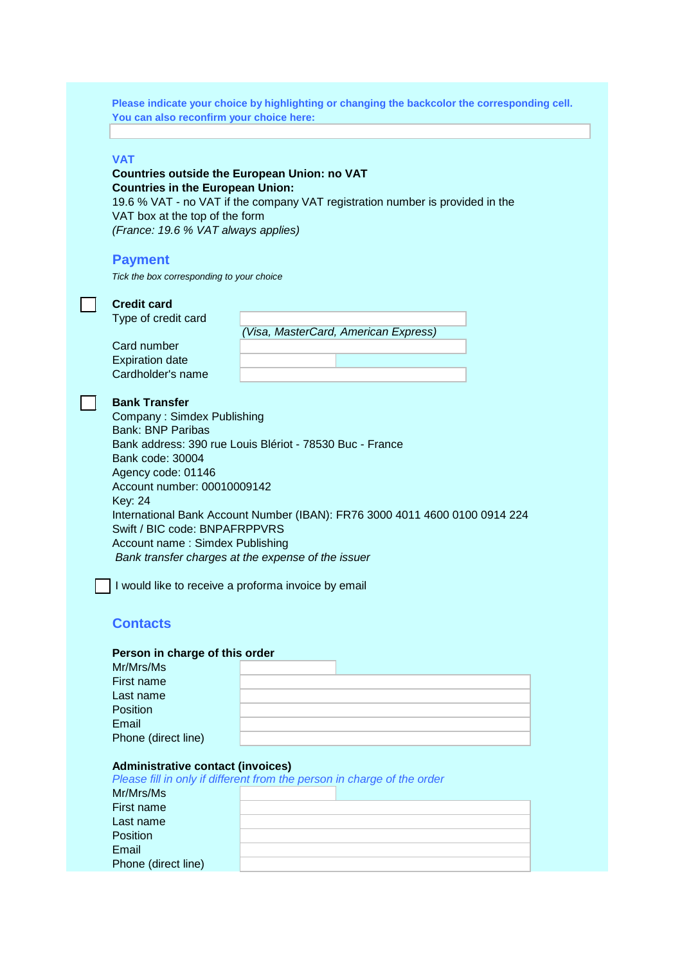**Please indicate your choice by highlighting or changing the backcolor the corresponding cell. You can also reconfirm your choice here:**

#### **VAT**

### **Countries outside the European Union: no VAT Countries in the European Union:**

19.6 % VAT - no VAT if the company VAT registration number is provided in the VAT box at the top of the form *(France: 19.6 % VAT always applies)*

#### **Payment**

*Tick the box corresponding to your choice*

| <i>rion are box</i> corresponding to your choice                                                                                                                                                                                       |                                                                                                                                                                                                                                                      |  |  |  |
|----------------------------------------------------------------------------------------------------------------------------------------------------------------------------------------------------------------------------------------|------------------------------------------------------------------------------------------------------------------------------------------------------------------------------------------------------------------------------------------------------|--|--|--|
| <b>Credit card</b><br>Type of credit card                                                                                                                                                                                              |                                                                                                                                                                                                                                                      |  |  |  |
|                                                                                                                                                                                                                                        | Visa, MasterCard, American Express)                                                                                                                                                                                                                  |  |  |  |
| Card number                                                                                                                                                                                                                            |                                                                                                                                                                                                                                                      |  |  |  |
|                                                                                                                                                                                                                                        |                                                                                                                                                                                                                                                      |  |  |  |
| <b>Expiration date</b>                                                                                                                                                                                                                 |                                                                                                                                                                                                                                                      |  |  |  |
| Cardholder's name                                                                                                                                                                                                                      |                                                                                                                                                                                                                                                      |  |  |  |
| <b>Bank Transfer</b><br>Company: Simdex Publishing<br>Bank: BNP Paribas<br>Bank code: 30004<br>Agency code: 01146<br>Account number: 00010009142<br><b>Key: 24</b><br>Swift / BIC code: BNPAFRPPVRS<br>Account name: Simdex Publishing | Bank address: 390 rue Louis Blériot - 78530 Buc - France<br>International Bank Account Number (IBAN): FR76 3000 4011 4600 0100 0914 224<br>Bank transfer charges at the expense of the issuer<br>I would like to receive a proforma invoice by email |  |  |  |

## **Contacts**

#### **Person in charge of this order**

| Mr/Mrs/Ms           |  |  |
|---------------------|--|--|
| First name          |  |  |
| Last name           |  |  |
| Position            |  |  |
| Email               |  |  |
| Phone (direct line) |  |  |

#### **Administrative contact (invoices)**

| Please fill in only if different from the person in charge of the order |  |  |  |  |  |
|-------------------------------------------------------------------------|--|--|--|--|--|
| Mr/Mrs/Ms                                                               |  |  |  |  |  |
| First name                                                              |  |  |  |  |  |
| Last name                                                               |  |  |  |  |  |
| <b>Position</b>                                                         |  |  |  |  |  |
| Email                                                                   |  |  |  |  |  |
| Phone (direct line)                                                     |  |  |  |  |  |